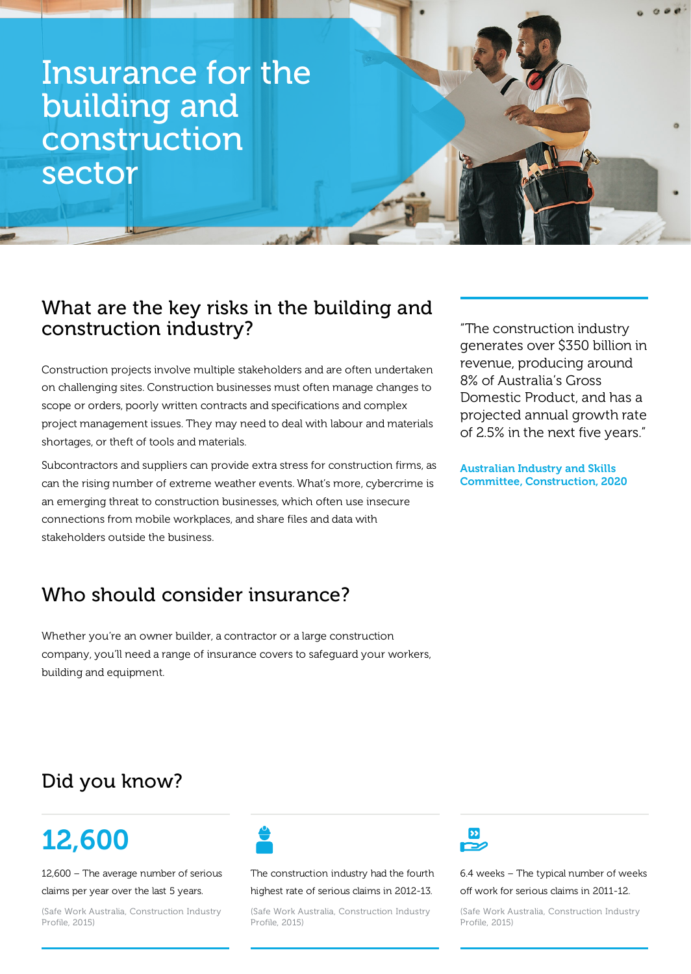## Insurance for the building and construction sector

### What are the key risks in the building and construction industry?

Construction projects involve multiple stakeholders and are often undertaken on challenging sites. Construction businesses must often manage changes to scope or orders, poorly written contracts and specifications and complex project management issues. They may need to deal with labour and materials shortages, or theft of tools and materials.

Subcontractors and suppliers can provide extra stress for construction firms, as can the rising number of extreme weather events. What's more, cybercrime is an emerging threat to construction businesses, which often use insecure connections from mobile workplaces, and share files and data with stakeholders outside the business.

"The construction industry generates over \$350 billion in revenue, producing around 8% of Australia's Gross Domestic Product, and has a projected annual growth rate of 2.5% in the next five years."

Australian Industry and Skills Committee, Construction, 2020

# Who should consider insurance?

Whether you're an owner builder, a contractor or a large construction company, you'll need a range of insurance covers to safeguard your workers, building and equipment.

### Did you know?

## 12,600

12,600 – The average number of serious

#### claims per year over the last 5 years.

(Safe Work Australia, Construction Industry Profile, 2015)



The construction industry had the fourth

#### highest rate of serious claims in 2012-13.

(Safe Work Australia, Construction Industry Profile, 2015)



6.4 weeks – The typical number of weeks

off work for serious claims in 2011-12.

(Safe Work Australia, Construction Industry Profile, 2015)